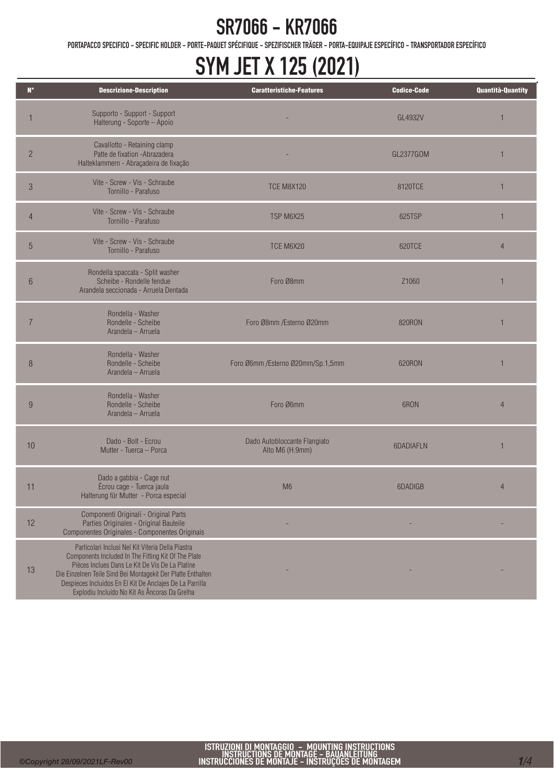PORTAPACCO SPECIFICO - SPECIFIC HOLDER - PORTE-PAQUET SPÉCIFIQUE - SPEZIFISCHER TRÄGER - PORTA-EQUIPAJE ESPECÍFICO - TRANSPORTADOR ESPECÍFICO

# SYM JET X 125 (2021)

| $\mathbf{N}^{\circ}$ | <b>Descrizione-Description</b>                                                                                                                                                                                                                                                                                                           | <b>Caratteristiche-Features</b>                 | <b>Codice-Code</b> | Quantità-Quantity |
|----------------------|------------------------------------------------------------------------------------------------------------------------------------------------------------------------------------------------------------------------------------------------------------------------------------------------------------------------------------------|-------------------------------------------------|--------------------|-------------------|
|                      | Supporto - Support - Support<br>Halterung - Soporte - Apoio                                                                                                                                                                                                                                                                              |                                                 | GL4932V            | 1                 |
| $\overline{c}$       | Cavallotto - Retaining clamp<br>Patte de fixation - Abrazadera<br>Halteklammern - Abraçadeira de fixação                                                                                                                                                                                                                                 |                                                 | GL2377GOM          |                   |
| 3                    | Vite - Screw - Vis - Schraube<br>Tornillo - Parafuso                                                                                                                                                                                                                                                                                     | <b>TCE M8X120</b>                               | 8120TCE            | 1                 |
| $\overline{4}$       | Vite - Screw - Vis - Schraube<br>Tornillo - Parafuso                                                                                                                                                                                                                                                                                     | TSP M6X25                                       | 625TSP             | 1                 |
| $\overline{5}$       | Vite - Screw - Vis - Schraube<br>Tornillo - Parafuso                                                                                                                                                                                                                                                                                     | TCE M6X20                                       | 620TCE             | $\overline{4}$    |
| 6                    | Rondella spaccata - Split washer<br>Scheibe - Rondelle fendue<br>Arandela seccionada - Arruela Dentada                                                                                                                                                                                                                                   | Foro Ø8mm                                       | Z <sub>1060</sub>  | 1                 |
| $\overline{7}$       | Rondella - Washer<br>Rondelle - Scheibe<br>Arandela - Arruela                                                                                                                                                                                                                                                                            | Foro Ø8mm /Esterno Ø20mm                        | <b>820RON</b>      | 1                 |
| 8                    | Rondella - Washer<br>Rondelle - Scheibe<br>Arandela - Arruela                                                                                                                                                                                                                                                                            | Foro Ø6mm / Esterno Ø20mm/Sp.1,5mm              | 620RON             | 1                 |
| 9                    | Rondella - Washer<br>Rondelle - Scheibe<br>Arandela - Arruela                                                                                                                                                                                                                                                                            | Foro Ø6mm                                       | 6RON               | $\overline{4}$    |
| 10                   | Dado - Bolt - Ecrou<br>Mutter - Tuerca - Porca                                                                                                                                                                                                                                                                                           | Dado Autobloccante Flangiato<br>Alto M6 (H.9mm) | 6DADIAFLN          | 1                 |
| 11                   | Dado a gabbia - Cage nut<br>Écrou cage - Tuerca jaula<br>Halterung für Mutter - Porca especial                                                                                                                                                                                                                                           | M <sub>6</sub>                                  | 6DADIGB            | $\overline{4}$    |
| 12                   | Componenti Originali - Original Parts<br>Parties Originales - Original Bauteile<br>Componentes Originales - Componentes Originais                                                                                                                                                                                                        |                                                 |                    |                   |
| 13                   | Particolari Inclusi Nel Kit Viteria Della Piastra<br>Components Included In The Fitting Kit Of The Plate<br>Pièces Inclues Dans Le Kit De Vis De La Platine<br>Die Einzelnen Teile Sind Bei Montagekit Der Platte Enthalten<br>Despieces Incluidos En El Kit De Anclajes De La Parrilla<br>Explodiu Incluído No Kit As Âncoras Da Grelha |                                                 |                    |                   |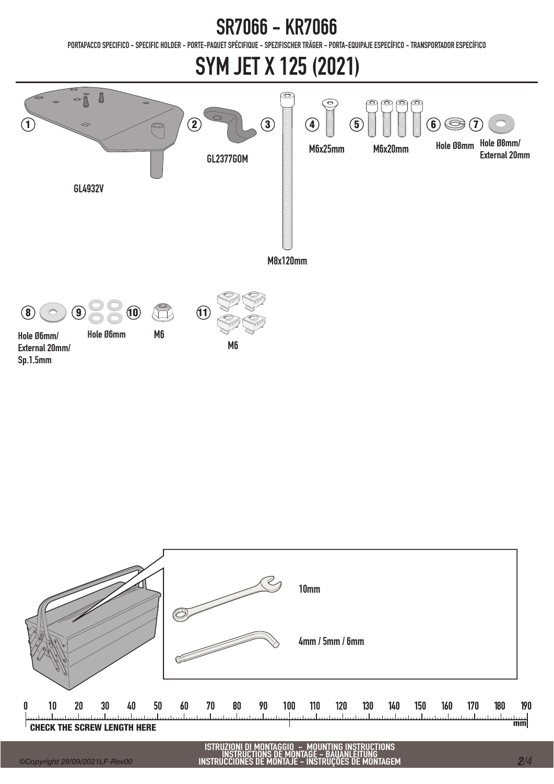PORTAPACCO SPECIFICO - SPECIFIC HOLDER - PORTE-PAQUET SPÉCIFIQUE - SPEZIFISCHER TRÄGER - PORTA-EQUIPAJE ESPECÍFICO - TRANSPORTADOR ESPECÍFICO

# SYM JET X 125 (2021)





ISTRUZIONI DI MONTAGGIO - MOUNTING INSTRUCTIONS INSTRUCTIONS DE MONTAGE - BAUANLEITUNG INSTRUCCIONES DE MONTAJE - INSTRUÇÕES DE MONTAGEM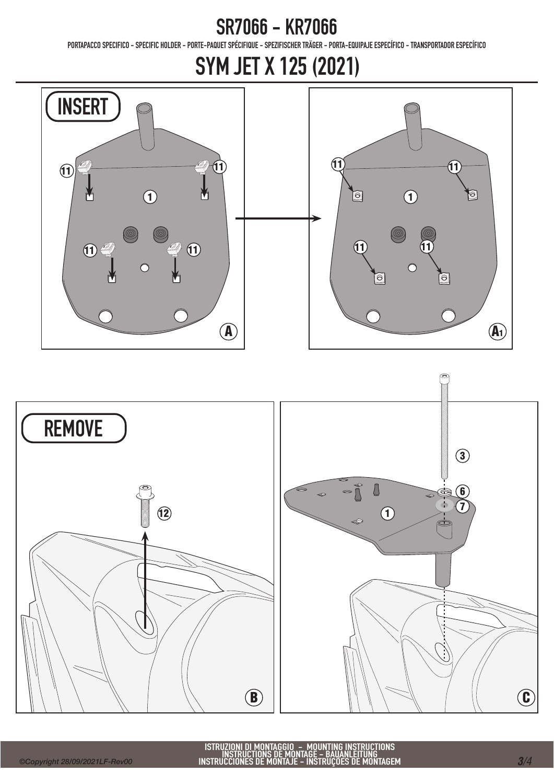PORTAPACCO SPECIFICO - SPECIFIC HOLDER - PORTE-PAQUET SPÉCIFIQUE - SPEZIFISCHER TRÄGER - PORTA-EQUIPAJE ESPECÍFICO - TRANSPORTADOR ESPECÍFICO

### SYM JET X 125 (2021)